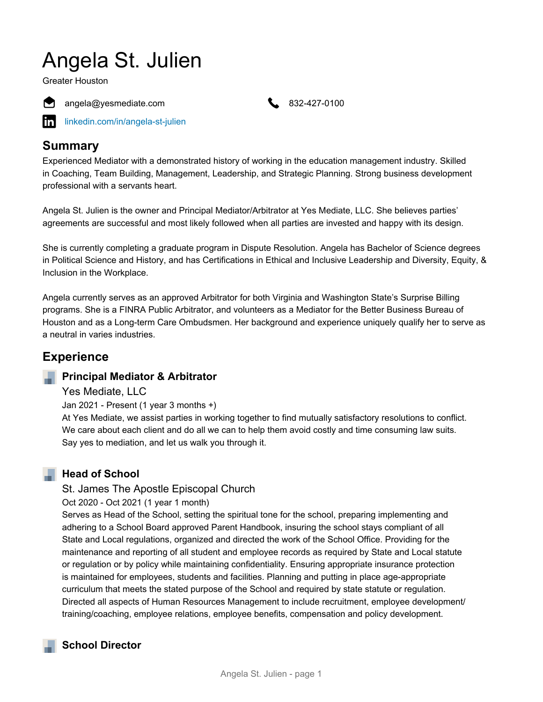# Angela St. Julien

Greater Houston







[linkedin.com/in/angela-st-julien](https://www.linkedin.com/in/angela-st-julien)

# **Summary**

Experienced Mediator with a demonstrated history of working in the education management industry. Skilled in Coaching, Team Building, Management, Leadership, and Strategic Planning. Strong business development professional with a servants heart.

Angela St. Julien is the owner and Principal Mediator/Arbitrator at Yes Mediate, LLC. She believes parties' agreements are successful and most likely followed when all parties are invested and happy with its design.

She is currently completing a graduate program in Dispute Resolution. Angela has Bachelor of Science degrees in Political Science and History, and has Certifications in Ethical and Inclusive Leadership and Diversity, Equity, & Inclusion in the Workplace.

Angela currently serves as an approved Arbitrator for both Virginia and Washington State's Surprise Billing programs. She is a FINRA Public Arbitrator, and volunteers as a Mediator for the Better Business Bureau of Houston and as a Long-term Care Ombudsmen. Her background and experience uniquely qualify her to serve as a neutral in varies industries.

# **Experience**

### **Principal Mediator & Arbitrator**

Yes Mediate, LLC

Jan 2021 - Present (1 year 3 months +)

At Yes Mediate, we assist parties in working together to find mutually satisfactory resolutions to conflict. We care about each client and do all we can to help them avoid costly and time consuming law suits. Say yes to mediation, and let us walk you through it.

#### **Head of School**

#### St. James The Apostle Episcopal Church

Oct 2020 - Oct 2021 (1 year 1 month)

Serves as Head of the School, setting the spiritual tone for the school, preparing implementing and adhering to a School Board approved Parent Handbook, insuring the school stays compliant of all State and Local regulations, organized and directed the work of the School Office. Providing for the maintenance and reporting of all student and employee records as required by State and Local statute or regulation or by policy while maintaining confidentiality. Ensuring appropriate insurance protection is maintained for employees, students and facilities. Planning and putting in place age-appropriate curriculum that meets the stated purpose of the School and required by state statute or regulation. Directed all aspects of Human Resources Management to include recruitment, employee development/ training/coaching, employee relations, employee benefits, compensation and policy development.

# **School Director**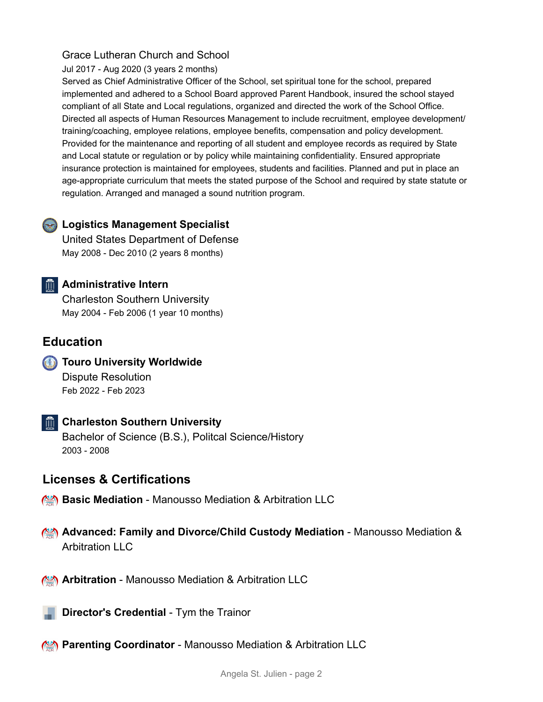#### Grace Lutheran Church and School

Jul 2017 - Aug 2020 (3 years 2 months)

Served as Chief Administrative Officer of the School, set spiritual tone for the school, prepared implemented and adhered to a School Board approved Parent Handbook, insured the school stayed compliant of all State and Local regulations, organized and directed the work of the School Office. Directed all aspects of Human Resources Management to include recruitment, employee development/ training/coaching, employee relations, employee benefits, compensation and policy development. Provided for the maintenance and reporting of all student and employee records as required by State and Local statute or regulation or by policy while maintaining confidentiality. Ensured appropriate insurance protection is maintained for employees, students and facilities. Planned and put in place an age-appropriate curriculum that meets the stated purpose of the School and required by state statute or regulation. Arranged and managed a sound nutrition program.

#### **Logistics Management Specialist**

United States Department of Defense May 2008 - Dec 2010 (2 years 8 months)

#### **Administrative Intern**

Charleston Southern University May 2004 - Feb 2006 (1 year 10 months)

### **Education**

**Touro University Worldwide** Dispute Resolution Feb 2022 - Feb 2023

#### **Charleston Southern University**

Bachelor of Science (B.S.), Politcal Science/History 2003 - 2008

# **Licenses & Certifications**

- **Basic Mediation** Manousso Mediation & Arbitration LLC
- **Advanced: Family and Divorce/Child Custody Mediation** Manousso Mediation & Arbitration LLC
- **Arbitration** Manousso Mediation & Arbitration LLC

**Director's Credential** - Tym the Trainor

**Parenting Coordinator** - Manousso Mediation & Arbitration LLC